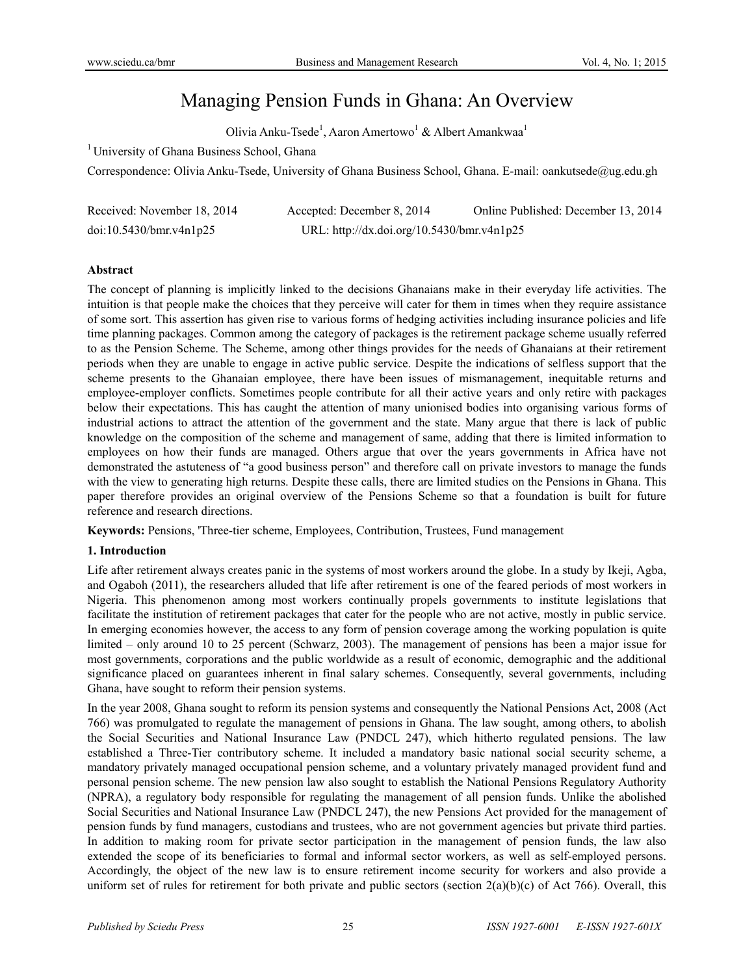# Managing Pension Funds in Ghana: An Overview

Olivia Anku-Tsede<sup>1</sup>, Aaron Amertowo<sup>1</sup> & Albert Amankwaa<sup>1</sup>

<sup>1</sup> University of Ghana Business School, Ghana

Correspondence: Olivia Anku-Tsede, University of Ghana Business School, Ghana. E-mail: oankutsede@ug.edu.gh

| Received: November 18, 2014 | Accepted: December 8, 2014                 | Online Published: December 13, 2014 |
|-----------------------------|--------------------------------------------|-------------------------------------|
| doi:10.5430/bmr.v4n1p25     | URL: http://dx.doi.org/10.5430/bmr.v4n1p25 |                                     |

#### **Abstract**

The concept of planning is implicitly linked to the decisions Ghanaians make in their everyday life activities. The intuition is that people make the choices that they perceive will cater for them in times when they require assistance of some sort. This assertion has given rise to various forms of hedging activities including insurance policies and life time planning packages. Common among the category of packages is the retirement package scheme usually referred to as the Pension Scheme. The Scheme, among other things provides for the needs of Ghanaians at their retirement periods when they are unable to engage in active public service. Despite the indications of selfless support that the scheme presents to the Ghanaian employee, there have been issues of mismanagement, inequitable returns and employee-employer conflicts. Sometimes people contribute for all their active years and only retire with packages below their expectations. This has caught the attention of many unionised bodies into organising various forms of industrial actions to attract the attention of the government and the state. Many argue that there is lack of public knowledge on the composition of the scheme and management of same, adding that there is limited information to employees on how their funds are managed. Others argue that over the years governments in Africa have not demonstrated the astuteness of "a good business person" and therefore call on private investors to manage the funds with the view to generating high returns. Despite these calls, there are limited studies on the Pensions in Ghana. This paper therefore provides an original overview of the Pensions Scheme so that a foundation is built for future reference and research directions.

**Keywords:** Pensions, 'Three-tier scheme, Employees, Contribution, Trustees, Fund management

#### **1. Introduction**

Life after retirement always creates panic in the systems of most workers around the globe. In a study by Ikeji, Agba, and Ogaboh (2011), the researchers alluded that life after retirement is one of the feared periods of most workers in Nigeria. This phenomenon among most workers continually propels governments to institute legislations that facilitate the institution of retirement packages that cater for the people who are not active, mostly in public service. In emerging economies however, the access to any form of pension coverage among the working population is quite limited – only around 10 to 25 percent (Schwarz, 2003). The management of pensions has been a major issue for most governments, corporations and the public worldwide as a result of economic, demographic and the additional significance placed on guarantees inherent in final salary schemes. Consequently, several governments, including Ghana, have sought to reform their pension systems.

In the year 2008, Ghana sought to reform its pension systems and consequently the National Pensions Act, 2008 (Act 766) was promulgated to regulate the management of pensions in Ghana. The law sought, among others, to abolish the Social Securities and National Insurance Law (PNDCL 247), which hitherto regulated pensions. The law established a Three-Tier contributory scheme. It included a mandatory basic national social security scheme, a mandatory privately managed occupational pension scheme, and a voluntary privately managed provident fund and personal pension scheme. The new pension law also sought to establish the National Pensions Regulatory Authority (NPRA), a regulatory body responsible for regulating the management of all pension funds. Unlike the abolished Social Securities and National Insurance Law (PNDCL 247), the new Pensions Act provided for the management of pension funds by fund managers, custodians and trustees, who are not government agencies but private third parties. In addition to making room for private sector participation in the management of pension funds, the law also extended the scope of its beneficiaries to formal and informal sector workers, as well as self-employed persons. Accordingly, the object of the new law is to ensure retirement income security for workers and also provide a uniform set of rules for retirement for both private and public sectors (section 2(a)(b)(c) of Act 766). Overall, this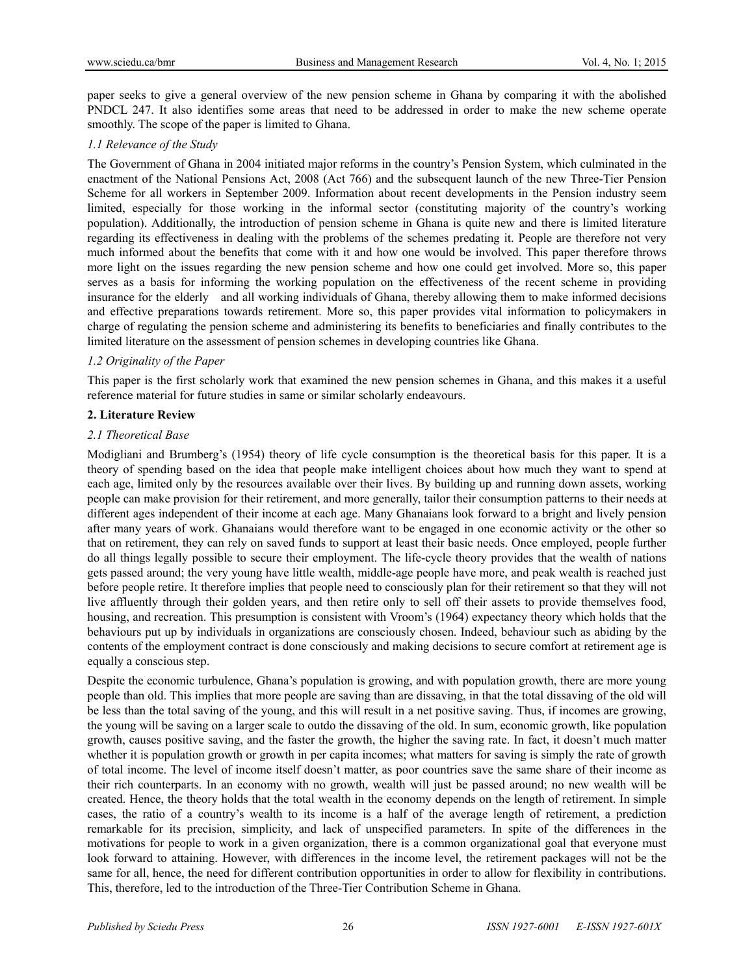paper seeks to give a general overview of the new pension scheme in Ghana by comparing it with the abolished PNDCL 247. It also identifies some areas that need to be addressed in order to make the new scheme operate smoothly. The scope of the paper is limited to Ghana.

## *1.1 Relevance of the Study*

The Government of Ghana in 2004 initiated major reforms in the country's Pension System, which culminated in the enactment of the National Pensions Act, 2008 (Act 766) and the subsequent launch of the new Three-Tier Pension Scheme for all workers in September 2009. Information about recent developments in the Pension industry seem limited, especially for those working in the informal sector (constituting majority of the country's working population). Additionally, the introduction of pension scheme in Ghana is quite new and there is limited literature regarding its effectiveness in dealing with the problems of the schemes predating it. People are therefore not very much informed about the benefits that come with it and how one would be involved. This paper therefore throws more light on the issues regarding the new pension scheme and how one could get involved. More so, this paper serves as a basis for informing the working population on the effectiveness of the recent scheme in providing insurance for the elderly and all working individuals of Ghana, thereby allowing them to make informed decisions and effective preparations towards retirement. More so, this paper provides vital information to policymakers in charge of regulating the pension scheme and administering its benefits to beneficiaries and finally contributes to the limited literature on the assessment of pension schemes in developing countries like Ghana.

#### *1.2 Originality of the Paper*

This paper is the first scholarly work that examined the new pension schemes in Ghana, and this makes it a useful reference material for future studies in same or similar scholarly endeavours.

#### **2. Literature Review**

#### *2.1 Theoretical Base*

Modigliani and Brumberg's (1954) theory of life cycle consumption is the theoretical basis for this paper. It is a theory of spending based on the idea that people make intelligent choices about how much they want to spend at each age, limited only by the resources available over their lives. By building up and running down assets, working people can make provision for their retirement, and more generally, tailor their consumption patterns to their needs at different ages independent of their income at each age. Many Ghanaians look forward to a bright and lively pension after many years of work. Ghanaians would therefore want to be engaged in one economic activity or the other so that on retirement, they can rely on saved funds to support at least their basic needs. Once employed, people further do all things legally possible to secure their employment. The life-cycle theory provides that the wealth of nations gets passed around; the very young have little wealth, middle-age people have more, and peak wealth is reached just before people retire. It therefore implies that people need to consciously plan for their retirement so that they will not live affluently through their golden years, and then retire only to sell off their assets to provide themselves food, housing, and recreation. This presumption is consistent with Vroom's (1964) expectancy theory which holds that the behaviours put up by individuals in organizations are consciously chosen. Indeed, behaviour such as abiding by the contents of the employment contract is done consciously and making decisions to secure comfort at retirement age is equally a conscious step.

Despite the economic turbulence, Ghana's population is growing, and with population growth, there are more young people than old. This implies that more people are saving than are dissaving, in that the total dissaving of the old will be less than the total saving of the young, and this will result in a net positive saving. Thus, if incomes are growing, the young will be saving on a larger scale to outdo the dissaving of the old. In sum, economic growth, like population growth, causes positive saving, and the faster the growth, the higher the saving rate. In fact, it doesn't much matter whether it is population growth or growth in per capita incomes; what matters for saving is simply the rate of growth of total income. The level of income itself doesn't matter, as poor countries save the same share of their income as their rich counterparts. In an economy with no growth, wealth will just be passed around; no new wealth will be created. Hence, the theory holds that the total wealth in the economy depends on the length of retirement. In simple cases, the ratio of a country's wealth to its income is a half of the average length of retirement, a prediction remarkable for its precision, simplicity, and lack of unspecified parameters. In spite of the differences in the motivations for people to work in a given organization, there is a common organizational goal that everyone must look forward to attaining. However, with differences in the income level, the retirement packages will not be the same for all, hence, the need for different contribution opportunities in order to allow for flexibility in contributions. This, therefore, led to the introduction of the Three-Tier Contribution Scheme in Ghana.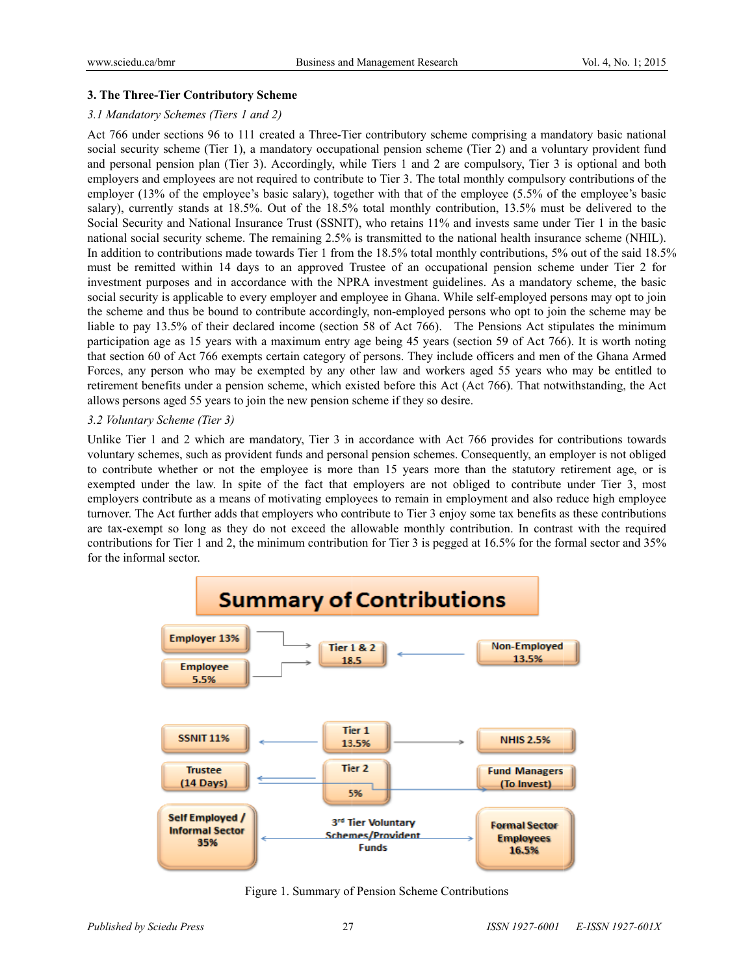#### 3. The Three-Tier Contributory Scheme

#### 3.1 Mandatory Schemes (Tiers 1 and 2)

Act 766 under sections 96 to 111 created a Three-Tier contributory scheme comprising a mandatory basic national social security scheme (Tier 1), a mandatory occupational pension scheme (Tier 2) and a voluntary provident fund and personal pension plan (Tier 3). Accordingly, while Tiers 1 and 2 are compulsory, Tier 3 is optional and both employers and employees are not required to contribute to Tier 3. The total monthly compulsory contributions of the employer (13% of the employee's basic salary), together with that of the employee (5.5% of the employee's basic salary), currently stands at 18.5%. Out of the 18.5% total monthly contribution, 13.5% must be delivered to the Social Security and National Insurance Trust (SSNIT), who retains 11% and invests same under Tier 1 in the basic national social security scheme. The remaining 2.5% is transmitted to the national health insurance scheme (NHIL). In addition to contributions made towards Tier 1 from the 18.5% total monthly contributions, 5% out of the said 18.5% must be remitted within 14 days to an approved Trustee of an occupational pension scheme under Tier 2 for investment purposes and in accordance with the NPRA investment guidelines. As a mandatory scheme, the basic social security is applicable to every employer and employee in Ghana. While self-employed persons may opt to join the scheme and thus be bound to contribute accordingly, non-employed persons who opt to join the scheme may be liable to pay 13.5% of their declared income (section 58 of Act 766). The Pensions Act stipulates the minimum participation age as 15 years with a maximum entry age being 45 years (section 59 of Act 766). It is worth noting that section 60 of Act 766 exempts certain category of persons. They include officers and men of the Ghana Armed Forces, any person who may be exempted by any other law and workers aged 55 years who may be entitled to retirement benefits under a pension scheme, which existed before this Act (Act 766). That notwithstanding, the Act allows persons aged 55 years to join the new pension scheme if they so desire.

#### 3.2 Voluntary Scheme (Tier 3)

Unlike Tier 1 and 2 which are mandatory, Tier 3 in accordance with Act 766 provides for contributions towards voluntary schemes, such as provident funds and personal pension schemes. Consequently, an employer is not obliged to contribute whether or not the employee is more than 15 years more than the statutory retirement age, or is exempted under the law. In spite of the fact that employers are not obliged to contribute under Tier 3, most employers contribute as a means of motivating employees to remain in employment and also reduce high employee turnover. The Act further adds that employers who contribute to Tier 3 enjoy some tax benefits as these contributions are tax-exempt so long as they do not exceed the allowable monthly contribution. In contrast with the required contributions for Tier 1 and 2, the minimum contribution for Tier 3 is pegged at 16.5% for the formal sector and 35% for the informal sector.



Figure 1. Summary of Pension Scheme Contributions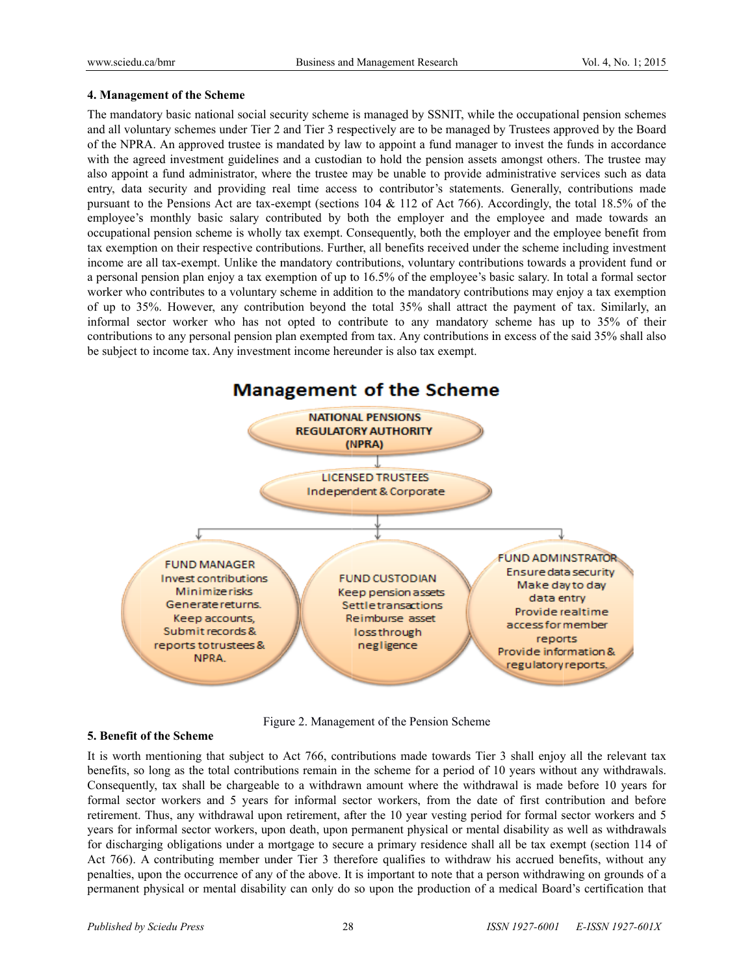#### 4. Management of the Scheme

The mandatory basic national social security scheme is managed by SSNIT, while the occupational pension schemes and all voluntary schemes under Tier 2 and Tier 3 respectively are to be managed by Trustees approved by the Board of the NPRA. An approved trustee is mandated by law to appoint a fund manager to invest the funds in accordance with the agreed investment guidelines and a custodian to hold the pension assets amongst others. The trustee may also appoint a fund administrator, where the trustee may be unable to provide administrative services such as data entry, data security and providing real time access to contributor's statements. Generally, contributions made pursuant to the Pensions Act are tax-exempt (sections 104 & 112 of Act 766). Accordingly, the total 18.5% of the employee's monthly basic salary contributed by both the employer and the employee and made towards an occupational pension scheme is wholly tax exempt. Consequently, both the employer and the employee benefit from tax exemption on their respective contributions. Further, all benefits received under the scheme including investment income are all tax-exempt. Unlike the mandatory contributions, voluntary contributions towards a provident fund or a personal pension plan enjoy a tax exemption of up to 16.5% of the employee's basic salary. In total a formal sector worker who contributes to a voluntary scheme in addition to the mandatory contributions may enjoy a tax exemption of up to 35%. However, any contribution beyond the total 35% shall attract the payment of tax. Similarly, an informal sector worker who has not opted to contribute to any mandatory scheme has up to 35% of their contributions to any personal pension plan exempted from tax. Any contributions in excess of the said 35% shall also be subject to income tax. Any investment income hereunder is also tax exempt.



Figure 2. Management of the Pension Scheme

#### 5. Benefit of the Scheme

It is worth mentioning that subject to Act 766, contributions made towards Tier 3 shall enjoy all the relevant tax benefits, so long as the total contributions remain in the scheme for a period of 10 years without any withdrawals. Consequently, tax shall be chargeable to a withdrawn amount where the withdrawal is made before 10 years for formal sector workers and 5 years for informal sector workers, from the date of first contribution and before retirement. Thus, any withdrawal upon retirement, after the 10 year vesting period for formal sector workers and 5 years for informal sector workers, upon death, upon permanent physical or mental disability as well as withdrawals for discharging obligations under a mortgage to secure a primary residence shall all be tax exempt (section 114 of Act 766). A contributing member under Tier 3 therefore qualifies to withdraw his accrued benefits, without any penalties, upon the occurrence of any of the above. It is important to note that a person withdrawing on grounds of a permanent physical or mental disability can only do so upon the production of a medical Board's certification that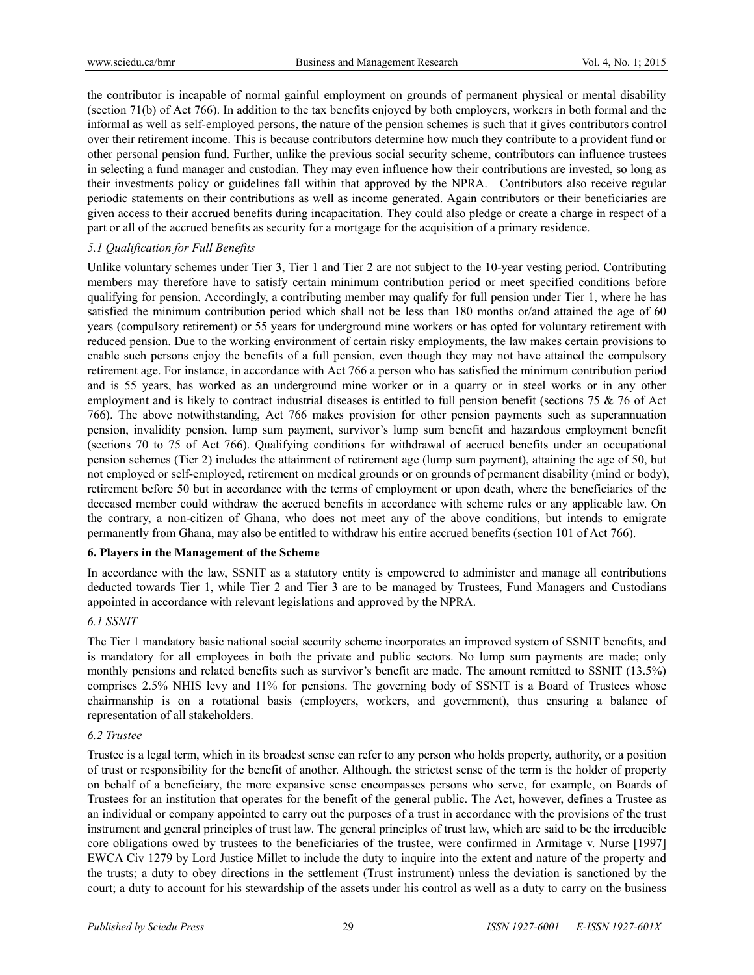the contributor is incapable of normal gainful employment on grounds of permanent physical or mental disability (section 71(b) of Act 766). In addition to the tax benefits enjoyed by both employers, workers in both formal and the informal as well as self-employed persons, the nature of the pension schemes is such that it gives contributors control over their retirement income. This is because contributors determine how much they contribute to a provident fund or other personal pension fund. Further, unlike the previous social security scheme, contributors can influence trustees in selecting a fund manager and custodian. They may even influence how their contributions are invested, so long as their investments policy or guidelines fall within that approved by the NPRA. Contributors also receive regular periodic statements on their contributions as well as income generated. Again contributors or their beneficiaries are given access to their accrued benefits during incapacitation. They could also pledge or create a charge in respect of a part or all of the accrued benefits as security for a mortgage for the acquisition of a primary residence.

# *5.1 Qualification for Full Benefits*

Unlike voluntary schemes under Tier 3, Tier 1 and Tier 2 are not subject to the 10-year vesting period. Contributing members may therefore have to satisfy certain minimum contribution period or meet specified conditions before qualifying for pension. Accordingly, a contributing member may qualify for full pension under Tier 1, where he has satisfied the minimum contribution period which shall not be less than 180 months or/and attained the age of 60 years (compulsory retirement) or 55 years for underground mine workers or has opted for voluntary retirement with reduced pension. Due to the working environment of certain risky employments, the law makes certain provisions to enable such persons enjoy the benefits of a full pension, even though they may not have attained the compulsory retirement age. For instance, in accordance with Act 766 a person who has satisfied the minimum contribution period and is 55 years, has worked as an underground mine worker or in a quarry or in steel works or in any other employment and is likely to contract industrial diseases is entitled to full pension benefit (sections 75 & 76 of Act 766). The above notwithstanding, Act 766 makes provision for other pension payments such as superannuation pension, invalidity pension, lump sum payment, survivor's lump sum benefit and hazardous employment benefit (sections 70 to 75 of Act 766). Qualifying conditions for withdrawal of accrued benefits under an occupational pension schemes (Tier 2) includes the attainment of retirement age (lump sum payment), attaining the age of 50, but not employed or self-employed, retirement on medical grounds or on grounds of permanent disability (mind or body), retirement before 50 but in accordance with the terms of employment or upon death, where the beneficiaries of the deceased member could withdraw the accrued benefits in accordance with scheme rules or any applicable law. On the contrary, a non-citizen of Ghana, who does not meet any of the above conditions, but intends to emigrate permanently from Ghana, may also be entitled to withdraw his entire accrued benefits (section 101 of Act 766).

#### **6. Players in the Management of the Scheme**

In accordance with the law, SSNIT as a statutory entity is empowered to administer and manage all contributions deducted towards Tier 1, while Tier 2 and Tier 3 are to be managed by Trustees, Fund Managers and Custodians appointed in accordance with relevant legislations and approved by the NPRA.

#### *6.1 SSNIT*

The Tier 1 mandatory basic national social security scheme incorporates an improved system of SSNIT benefits, and is mandatory for all employees in both the private and public sectors. No lump sum payments are made; only monthly pensions and related benefits such as survivor's benefit are made. The amount remitted to SSNIT (13.5%) comprises 2.5% NHIS levy and 11% for pensions. The governing body of SSNIT is a Board of Trustees whose chairmanship is on a rotational basis (employers, workers, and government), thus ensuring a balance of representation of all stakeholders.

#### *6.2 Trustee*

Trustee is a legal term, which in its broadest sense can refer to any person who holds property, authority, or a position of trust or responsibility for the benefit of another. Although, the strictest sense of the term is the holder of property on behalf of a beneficiary, the more expansive sense encompasses persons who serve, for example, on Boards of Trustees for an institution that operates for the benefit of the general public. The Act, however, defines a Trustee as an individual or company appointed to carry out the purposes of a trust in accordance with the provisions of the trust instrument and general principles of trust law. The general principles of trust law, which are said to be the irreducible core obligations owed by trustees to the beneficiaries of the trustee, were confirmed in Armitage v. Nurse [1997] EWCA Civ 1279 by Lord Justice Millet to include the duty to inquire into the extent and nature of the property and the trusts; a duty to obey directions in the settlement (Trust instrument) unless the deviation is sanctioned by the court; a duty to account for his stewardship of the assets under his control as well as a duty to carry on the business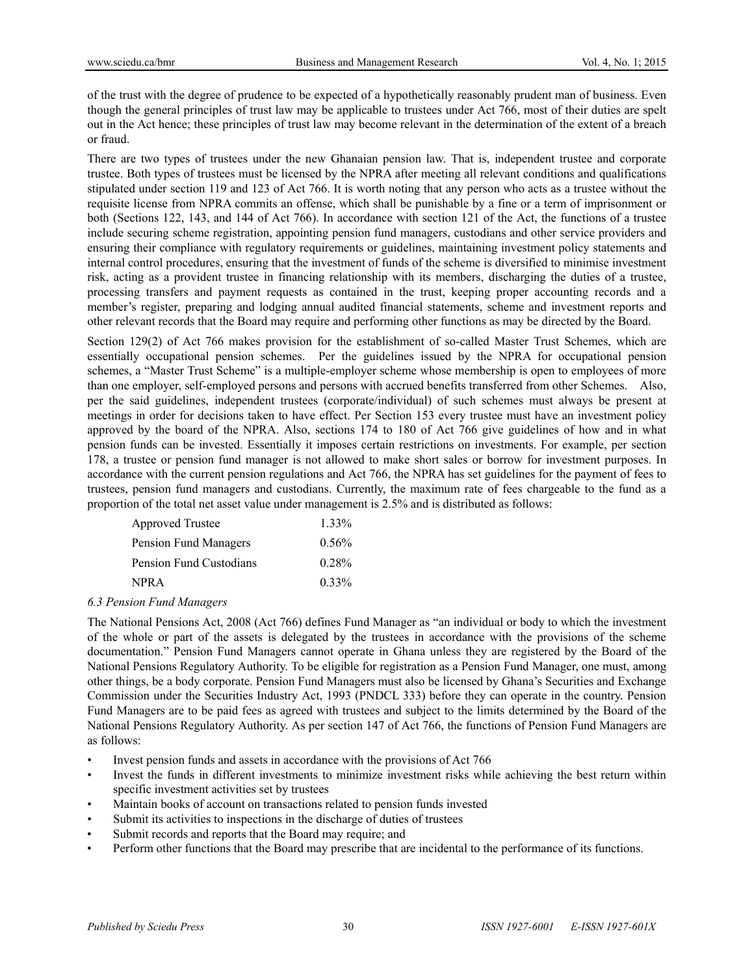of the trust with the degree of prudence to be expected of a hypothetically reasonably prudent man of business. Even though the general principles of trust law may be applicable to trustees under Act 766, most of their duties are spelt out in the Act hence; these principles of trust law may become relevant in the determination of the extent of a breach or fraud.

There are two types of trustees under the new Ghanaian pension law. That is, independent trustee and corporate trustee. Both types of trustees must be licensed by the NPRA after meeting all relevant conditions and qualifications stipulated under section 119 and 123 of Act 766. It is worth noting that any person who acts as a trustee without the requisite license from NPRA commits an offense, which shall be punishable by a fine or a term of imprisonment or both (Sections 122, 143, and 144 of Act 766). In accordance with section 121 of the Act, the functions of a trustee include securing scheme registration, appointing pension fund managers, custodians and other service providers and ensuring their compliance with regulatory requirements or guidelines, maintaining investment policy statements and internal control procedures, ensuring that the investment of funds of the scheme is diversified to minimise investment risk, acting as a provident trustee in financing relationship with its members, discharging the duties of a trustee, processing transfers and payment requests as contained in the trust, keeping proper accounting records and a member's register, preparing and lodging annual audited financial statements, scheme and investment reports and other relevant records that the Board may require and performing other functions as may be directed by the Board.

Section 129(2) of Act 766 makes provision for the establishment of so-called Master Trust Schemes, which are essentially occupational pension schemes. Per the guidelines issued by the NPRA for occupational pension schemes, a "Master Trust Scheme" is a multiple-employer scheme whose membership is open to employees of more than one employer, self-employed persons and persons with accrued benefits transferred from other Schemes. Also, per the said guidelines, independent trustees (corporate/individual) of such schemes must always be present at meetings in order for decisions taken to have effect. Per Section 153 every trustee must have an investment policy approved by the board of the NPRA. Also, sections 174 to 180 of Act 766 give guidelines of how and in what pension funds can be invested. Essentially it imposes certain restrictions on investments. For example, per section 178, a trustee or pension fund manager is not allowed to make short sales or borrow for investment purposes. In accordance with the current pension regulations and Act 766, the NPRA has set guidelines for the payment of fees to trustees, pension fund managers and custodians. Currently, the maximum rate of fees chargeable to the fund as a proportion of the total net asset value under management is 2.5% and is distributed as follows:

| <b>Approved Trustee</b>        | 1.33%    |
|--------------------------------|----------|
| Pension Fund Managers          | 0.56%    |
| <b>Pension Fund Custodians</b> | $0.28\%$ |
| <b>NPRA</b>                    | $0.33\%$ |

#### *6.3 Pension Fund Managers*

The National Pensions Act, 2008 (Act 766) defines Fund Manager as "an individual or body to which the investment of the whole or part of the assets is delegated by the trustees in accordance with the provisions of the scheme documentation." Pension Fund Managers cannot operate in Ghana unless they are registered by the Board of the National Pensions Regulatory Authority. To be eligible for registration as a Pension Fund Manager, one must, among other things, be a body corporate. Pension Fund Managers must also be licensed by Ghana's Securities and Exchange Commission under the Securities Industry Act, 1993 (PNDCL 333) before they can operate in the country. Pension Fund Managers are to be paid fees as agreed with trustees and subject to the limits determined by the Board of the National Pensions Regulatory Authority. As per section 147 of Act 766, the functions of Pension Fund Managers are as follows:

- Invest pension funds and assets in accordance with the provisions of Act 766
- Invest the funds in different investments to minimize investment risks while achieving the best return within specific investment activities set by trustees
- Maintain books of account on transactions related to pension funds invested
- Submit its activities to inspections in the discharge of duties of trustees
- Submit records and reports that the Board may require; and
- Perform other functions that the Board may prescribe that are incidental to the performance of its functions.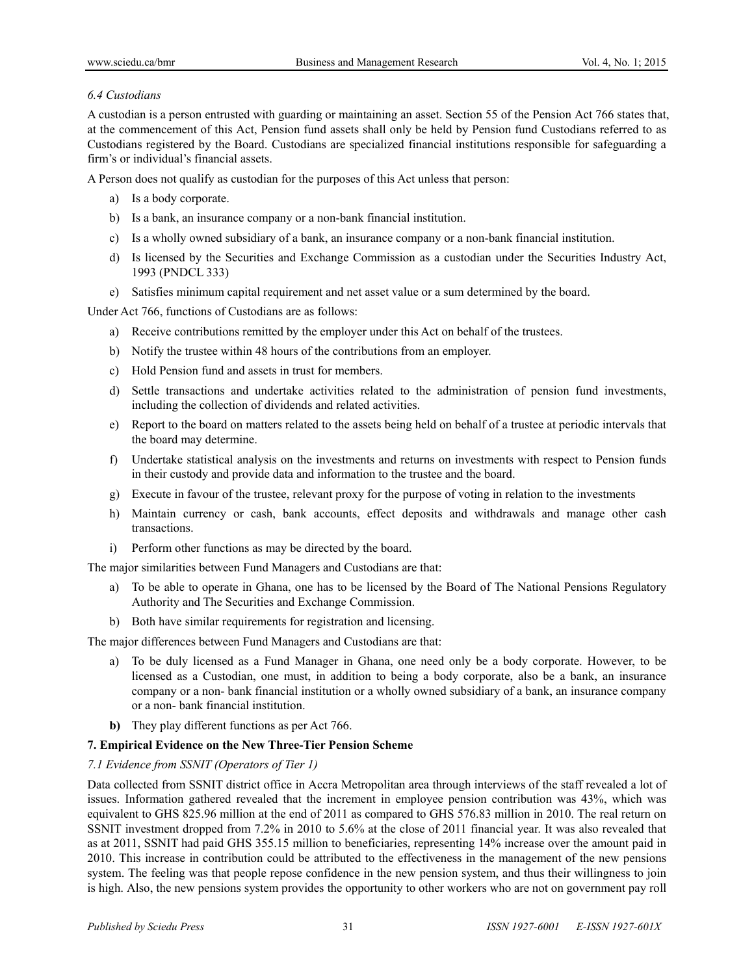## *6.4 Custodians*

A custodian is a person entrusted with guarding or maintaining an asset. Section 55 of the Pension Act 766 states that, at the commencement of this Act, Pension fund assets shall only be held by Pension fund Custodians referred to as Custodians registered by the Board. Custodians are specialized financial institutions responsible for safeguarding a firm's or individual's financial assets.

A Person does not qualify as custodian for the purposes of this Act unless that person:

- a) Is a body corporate.
- b) Is a bank, an insurance company or a non-bank financial institution.
- c) Is a wholly owned subsidiary of a bank, an insurance company or a non-bank financial institution.
- d) Is licensed by the Securities and Exchange Commission as a custodian under the Securities Industry Act, 1993 (PNDCL 333)
- e) Satisfies minimum capital requirement and net asset value or a sum determined by the board.

Under Act 766, functions of Custodians are as follows:

- a) Receive contributions remitted by the employer under this Act on behalf of the trustees.
- b) Notify the trustee within 48 hours of the contributions from an employer.
- c) Hold Pension fund and assets in trust for members.
- d) Settle transactions and undertake activities related to the administration of pension fund investments, including the collection of dividends and related activities.
- e) Report to the board on matters related to the assets being held on behalf of a trustee at periodic intervals that the board may determine.
- f) Undertake statistical analysis on the investments and returns on investments with respect to Pension funds in their custody and provide data and information to the trustee and the board.
- g) Execute in favour of the trustee, relevant proxy for the purpose of voting in relation to the investments
- h) Maintain currency or cash, bank accounts, effect deposits and withdrawals and manage other cash transactions.
- i) Perform other functions as may be directed by the board.

The major similarities between Fund Managers and Custodians are that:

- a) To be able to operate in Ghana, one has to be licensed by the Board of The National Pensions Regulatory Authority and The Securities and Exchange Commission.
- b) Both have similar requirements for registration and licensing.

The major differences between Fund Managers and Custodians are that:

- a) To be duly licensed as a Fund Manager in Ghana, one need only be a body corporate. However, to be licensed as a Custodian, one must, in addition to being a body corporate, also be a bank, an insurance company or a non- bank financial institution or a wholly owned subsidiary of a bank, an insurance company or a non- bank financial institution.
- **b)** They play different functions as per Act 766.

# **7. Empirical Evidence on the New Three-Tier Pension Scheme**

# *7.1 Evidence from SSNIT (Operators of Tier 1)*

Data collected from SSNIT district office in Accra Metropolitan area through interviews of the staff revealed a lot of issues. Information gathered revealed that the increment in employee pension contribution was 43%, which was equivalent to GHS 825.96 million at the end of 2011 as compared to GHS 576.83 million in 2010. The real return on SSNIT investment dropped from 7.2% in 2010 to 5.6% at the close of 2011 financial year. It was also revealed that as at 2011, SSNIT had paid GHS 355.15 million to beneficiaries, representing 14% increase over the amount paid in 2010. This increase in contribution could be attributed to the effectiveness in the management of the new pensions system. The feeling was that people repose confidence in the new pension system, and thus their willingness to join is high. Also, the new pensions system provides the opportunity to other workers who are not on government pay roll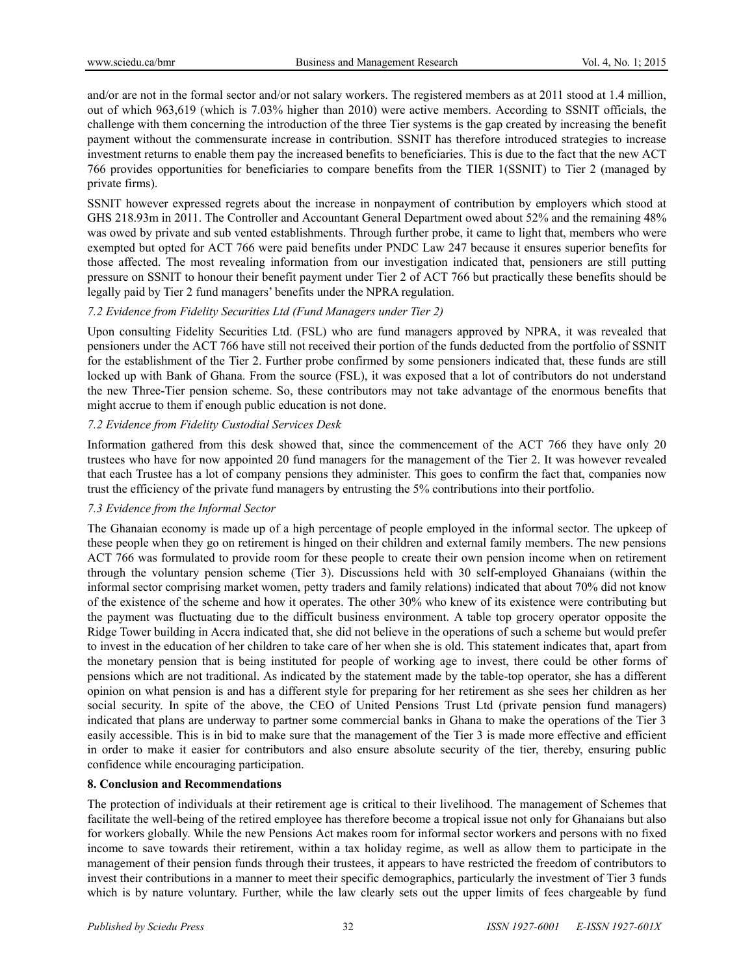and/or are not in the formal sector and/or not salary workers. The registered members as at 2011 stood at 1.4 million, out of which 963,619 (which is 7.03% higher than 2010) were active members. According to SSNIT officials, the challenge with them concerning the introduction of the three Tier systems is the gap created by increasing the benefit payment without the commensurate increase in contribution. SSNIT has therefore introduced strategies to increase investment returns to enable them pay the increased benefits to beneficiaries. This is due to the fact that the new ACT 766 provides opportunities for beneficiaries to compare benefits from the TIER 1(SSNIT) to Tier 2 (managed by private firms).

SSNIT however expressed regrets about the increase in nonpayment of contribution by employers which stood at GHS 218.93m in 2011. The Controller and Accountant General Department owed about 52% and the remaining 48% was owed by private and sub vented establishments. Through further probe, it came to light that, members who were exempted but opted for ACT 766 were paid benefits under PNDC Law 247 because it ensures superior benefits for those affected. The most revealing information from our investigation indicated that, pensioners are still putting pressure on SSNIT to honour their benefit payment under Tier 2 of ACT 766 but practically these benefits should be legally paid by Tier 2 fund managers' benefits under the NPRA regulation.

## *7.2 Evidence from Fidelity Securities Ltd (Fund Managers under Tier 2)*

Upon consulting Fidelity Securities Ltd. (FSL) who are fund managers approved by NPRA, it was revealed that pensioners under the ACT 766 have still not received their portion of the funds deducted from the portfolio of SSNIT for the establishment of the Tier 2. Further probe confirmed by some pensioners indicated that, these funds are still locked up with Bank of Ghana. From the source (FSL), it was exposed that a lot of contributors do not understand the new Three-Tier pension scheme. So, these contributors may not take advantage of the enormous benefits that might accrue to them if enough public education is not done.

## *7.2 Evidence from Fidelity Custodial Services Desk*

Information gathered from this desk showed that, since the commencement of the ACT 766 they have only 20 trustees who have for now appointed 20 fund managers for the management of the Tier 2. It was however revealed that each Trustee has a lot of company pensions they administer. This goes to confirm the fact that, companies now trust the efficiency of the private fund managers by entrusting the 5% contributions into their portfolio.

#### *7.3 Evidence from the Informal Sector*

The Ghanaian economy is made up of a high percentage of people employed in the informal sector. The upkeep of these people when they go on retirement is hinged on their children and external family members. The new pensions ACT 766 was formulated to provide room for these people to create their own pension income when on retirement through the voluntary pension scheme (Tier 3). Discussions held with 30 self-employed Ghanaians (within the informal sector comprising market women, petty traders and family relations) indicated that about 70% did not know of the existence of the scheme and how it operates. The other 30% who knew of its existence were contributing but the payment was fluctuating due to the difficult business environment. A table top grocery operator opposite the Ridge Tower building in Accra indicated that, she did not believe in the operations of such a scheme but would prefer to invest in the education of her children to take care of her when she is old. This statement indicates that, apart from the monetary pension that is being instituted for people of working age to invest, there could be other forms of pensions which are not traditional. As indicated by the statement made by the table-top operator, she has a different opinion on what pension is and has a different style for preparing for her retirement as she sees her children as her social security. In spite of the above, the CEO of United Pensions Trust Ltd (private pension fund managers) indicated that plans are underway to partner some commercial banks in Ghana to make the operations of the Tier 3 easily accessible. This is in bid to make sure that the management of the Tier 3 is made more effective and efficient in order to make it easier for contributors and also ensure absolute security of the tier, thereby, ensuring public confidence while encouraging participation.

#### **8. Conclusion and Recommendations**

The protection of individuals at their retirement age is critical to their livelihood. The management of Schemes that facilitate the well-being of the retired employee has therefore become a tropical issue not only for Ghanaians but also for workers globally. While the new Pensions Act makes room for informal sector workers and persons with no fixed income to save towards their retirement, within a tax holiday regime, as well as allow them to participate in the management of their pension funds through their trustees, it appears to have restricted the freedom of contributors to invest their contributions in a manner to meet their specific demographics, particularly the investment of Tier 3 funds which is by nature voluntary. Further, while the law clearly sets out the upper limits of fees chargeable by fund